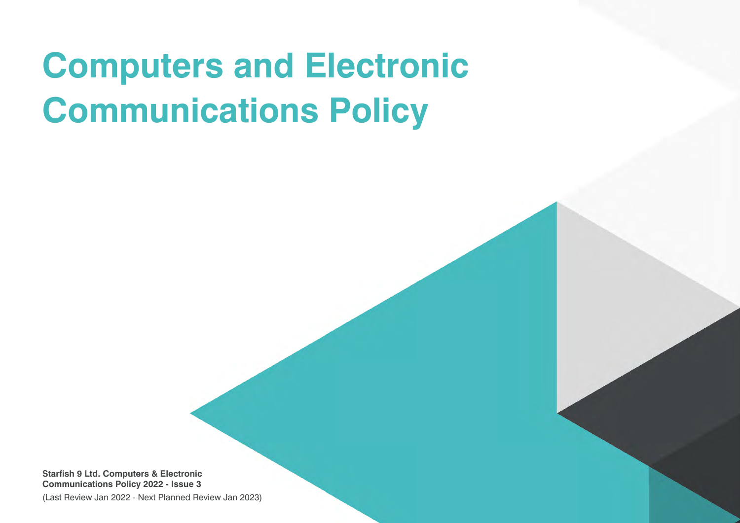# **Computers and Electronic Communications Policy**

**Starfish 9 Ltd. Computers & Electronic Communications Policy 2022 - Issue 3**

(Last Review Jan 2022 - Next Planned Review Jan 2023)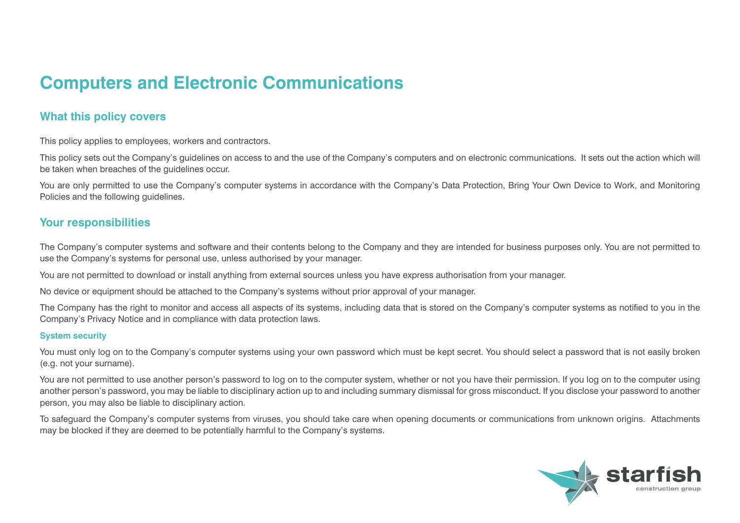# **Computers and Electronic Communications**

# **What this policy covers**

This policy applies to employees, workers and contractors.

This policy sets out the Company's guidelines on access to and the use of the Company's computers and on electronic communications. It sets out the action which will be taken when breaches of the guidelines occur.

You are only permitted to use the Company's computer systems in accordance with the Company's Data Protection, Bring Your Own Device to Work, and Monitoring Policies and the following guidelines.

## **Your responsibilities**

The Company's computer systems and software and their contents belong to the Company and they are intended for business purposes only. You are not permitted to use the Company's systems for personal use, unless authorised by your manager.

You are not permitted to download or install anything from external sources unless you have express authorisation from your manager.

No device or equipment should be attached to the Company's systems without prior approval of your manager.

The Company has the right to monitor and access all aspects of its systems, including data that is stored on the Company's computer systems as notified to you in the Company's Privacy Notice and in compliance with data protection laws.

#### **System security**

You must only log on to the Company's computer systems using your own password which must be kept secret. You should select a password that is not easily broken (e.g. not your surname).

You are not permitted to use another person's password to log on to the computer system, whether or not you have their permission. If you log on to the computer using another person's password, you may be liable to disciplinary action up to and including summary dismissal for gross misconduct. If you disclose your password to another person, you may also be liable to disciplinary action.

To safeguard the Company's computer systems from viruses, you should take care when opening documents or communications from unknown origins. Attachments may be blocked if they are deemed to be potentially harmful to the Company's systems.

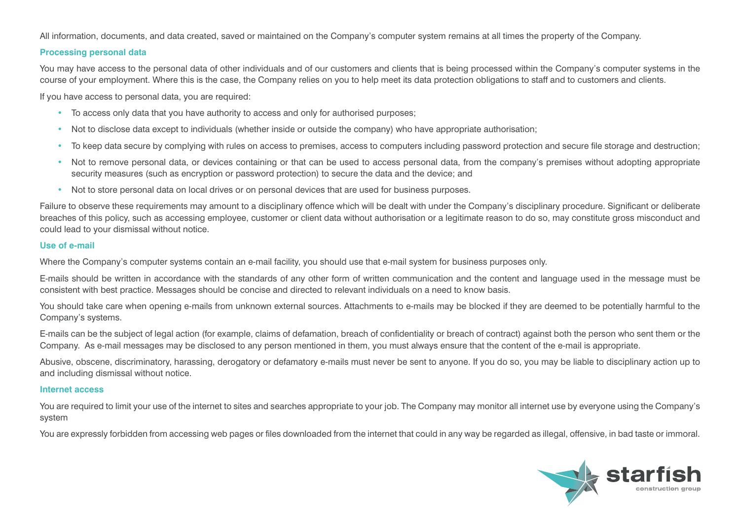All information, documents, and data created, saved or maintained on the Company's computer system remains at all times the property of the Company.

#### **Processing personal data**

You may have access to the personal data of other individuals and of our customers and clients that is being processed within the Company's computer systems in the course of your employment. Where this is the case, the Company relies on you to help meet its data protection obligations to staff and to customers and clients.

If you have access to personal data, you are required:

- To access only data that you have authority to access and only for authorised purposes;
- Not to disclose data except to individuals (whether inside or outside the company) who have appropriate authorisation;
- To keep data secure by complying with rules on access to premises, access to computers including password protection and secure file storage and destruction;
- Not to remove personal data, or devices containing or that can be used to access personal data, from the company's premises without adopting appropriate security measures (such as encryption or password protection) to secure the data and the device; and
- Not to store personal data on local drives or on personal devices that are used for business purposes.

Failure to observe these requirements may amount to a disciplinary offence which will be dealt with under the Company's disciplinary procedure. Significant or deliberate breaches of this policy, such as accessing employee, customer or client data without authorisation or a legitimate reason to do so, may constitute gross misconduct and could lead to your dismissal without notice.

#### **Use of e-mail**

Where the Company's computer systems contain an e-mail facility, you should use that e-mail system for business purposes only.

E-mails should be written in accordance with the standards of any other form of written communication and the content and language used in the message must be consistent with best practice. Messages should be concise and directed to relevant individuals on a need to know basis.

You should take care when opening e-mails from unknown external sources. Attachments to e-mails may be blocked if they are deemed to be potentially harmful to the Company's systems.

E-mails can be the subject of legal action (for example, claims of defamation, breach of confidentiality or breach of contract) against both the person who sent them or the Company. As e-mail messages may be disclosed to any person mentioned in them, you must always ensure that the content of the e-mail is appropriate.

Abusive, obscene, discriminatory, harassing, derogatory or defamatory e-mails must never be sent to anyone. If you do so, you may be liable to disciplinary action up to and including dismissal without notice.

#### **Internet access**

You are required to limit your use of the internet to sites and searches appropriate to your job. The Company may monitor all internet use by everyone using the Company's system

You are expressly forbidden from accessing web pages or files downloaded from the internet that could in any way be regarded as illegal, offensive, in bad taste or immoral.